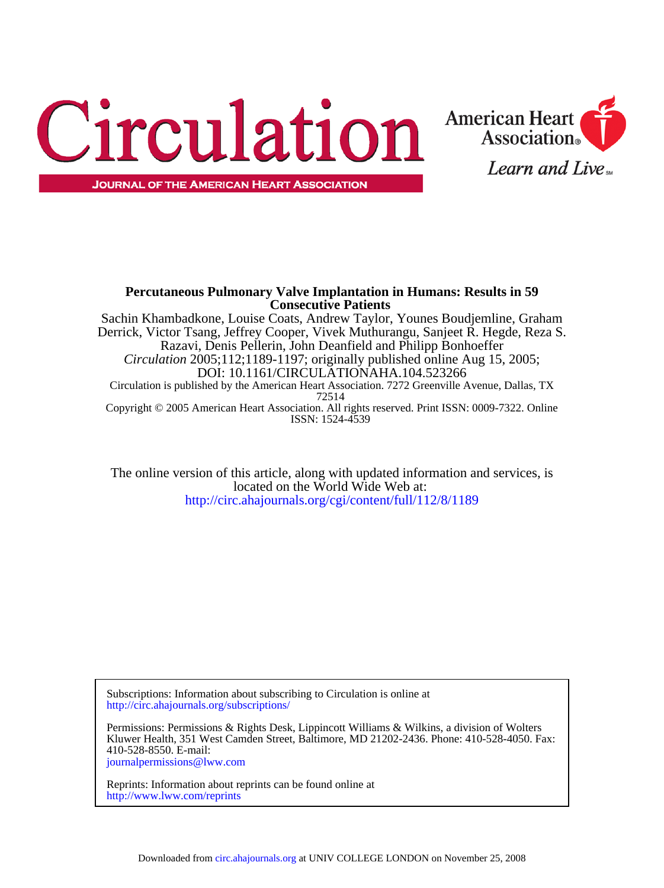



**Percutaneous Pulmonary Valve Implantation in Humans: Results in 59**

ISSN: 1524-4539 Copyright © 2005 American Heart Association. All rights reserved. Print ISSN: 0009-7322. Online 72514 Circulation is published by the American Heart Association. 7272 Greenville Avenue, Dallas, TX DOI: 10.1161/CIRCULATIONAHA.104.523266 *Circulation* 2005;112;1189-1197; originally published online Aug 15, 2005; Razavi, Denis Pellerin, John Deanfield and Philipp Bonhoeffer Derrick, Victor Tsang, Jeffrey Cooper, Vivek Muthurangu, Sanjeet R. Hegde, Reza S. Sachin Khambadkone, Louise Coats, Andrew Taylor, Younes Boudjemline, Graham **Consecutive Patients**

<http://circ.ahajournals.org/cgi/content/full/112/8/1189> located on the World Wide Web at: The online version of this article, along with updated information and services, is

<http://circ.ahajournals.org/subscriptions/> Subscriptions: Information about subscribing to Circulation is online at

[journalpermissions@lww.com](mailto:journalpermissions@lww.com) 410-528-8550. E-mail: Kluwer Health, 351 West Camden Street, Baltimore, MD 21202-2436. Phone: 410-528-4050. Fax: Permissions: Permissions & Rights Desk, Lippincott Williams & Wilkins, a division of Wolters

<http://www.lww.com/reprints> Reprints: Information about reprints can be found online at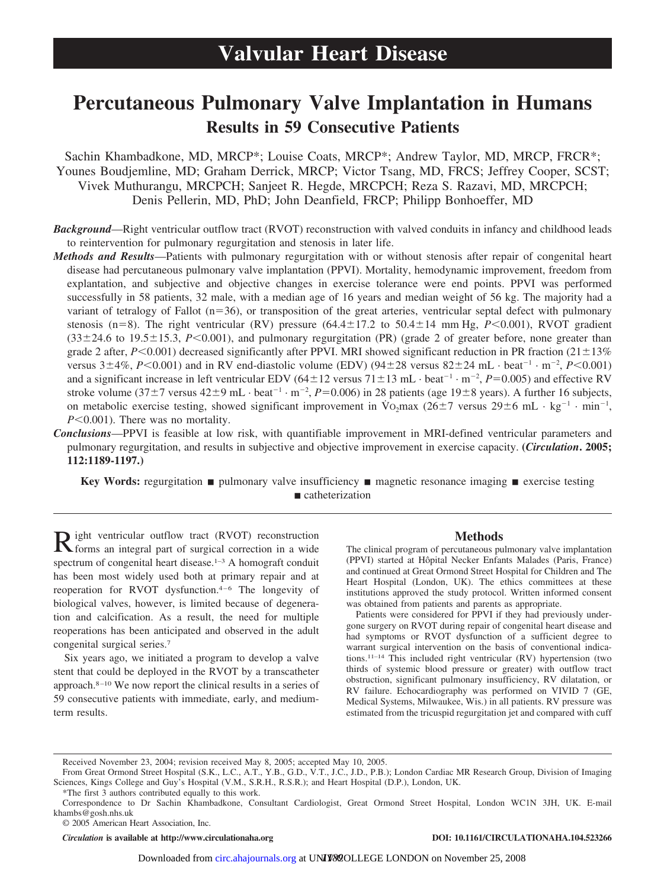# **Percutaneous Pulmonary Valve Implantation in Humans Results in 59 Consecutive Patients**

Sachin Khambadkone, MD, MRCP\*; Louise Coats, MRCP\*; Andrew Taylor, MD, MRCP, FRCR\*; Younes Boudjemline, MD; Graham Derrick, MRCP; Victor Tsang, MD, FRCS; Jeffrey Cooper, SCST; Vivek Muthurangu, MRCPCH; Sanjeet R. Hegde, MRCPCH; Reza S. Razavi, MD, MRCPCH; Denis Pellerin, MD, PhD; John Deanfield, FRCP; Philipp Bonhoeffer, MD

- *Background*—Right ventricular outflow tract (RVOT) reconstruction with valved conduits in infancy and childhood leads to reintervention for pulmonary regurgitation and stenosis in later life.
- *Methods and Results*—Patients with pulmonary regurgitation with or without stenosis after repair of congenital heart disease had percutaneous pulmonary valve implantation (PPVI). Mortality, hemodynamic improvement, freedom from explantation, and subjective and objective changes in exercise tolerance were end points. PPVI was performed successfully in 58 patients, 32 male, with a median age of 16 years and median weight of 56 kg. The majority had a variant of tetralogy of Fallot  $(n=36)$ , or transposition of the great arteries, ventricular septal defect with pulmonary stenosis (n=8). The right ventricular (RV) pressure (64.4 $\pm$ 17.2 to 50.4 $\pm$ 14 mm Hg, *P*<0.001), RVOT gradient  $(33\pm24.6 \text{ to } 19.5\pm15.3, P<0.001)$ , and pulmonary regurgitation (PR) (grade 2 of greater before, none greater than grade 2 after,  $P \le 0.001$ ) decreased significantly after PPVI. MRI showed significant reduction in PR fraction  $(21 \pm 13\%)$ versus  $3\pm 4\%$ ,  $P<0.001$ ) and in RV end-diastolic volume (EDV) ( $94\pm 28$  versus  $82\pm 24$  mL·beat<sup>-1</sup>·m<sup>-2</sup>,  $P<0.001$ ) and a significant increase in left ventricular EDV  $(64 \pm 12 \text{ versus } 71 \pm 13 \text{ mL} \cdot \text{beat}^{-1} \cdot \text{m}^{-2}, P=0.005)$  and effective RV stroke volume  $(37\pm7$  versus  $42\pm9$  mL·beat<sup>-1</sup>·m<sup>-2</sup>,  $P=0.006$ ) in 28 patients (age  $19\pm8$  years). A further 16 subjects, on metabolic exercise testing, showed significant improvement in  $\overline{V}o_2$ max (26±7 versus 29±6 mL·kg<sup>-1</sup>·min<sup>-1</sup>,  $P \leq 0.001$ ). There was no mortality.
- *Conclusions*—PPVI is feasible at low risk, with quantifiable improvement in MRI-defined ventricular parameters and pulmonary regurgitation, and results in subjective and objective improvement in exercise capacity. **(***Circulation***. 2005; 112:1189-1197.)**

**Key Words:** regurgitation  $\blacksquare$  pulmonary valve insufficiency  $\blacksquare$  magnetic resonance imaging  $\blacksquare$  exercise testing catheterization

Right ventricular outflow tract (RVOT) reconstruction forms an integral part of surgical correction in a wide spectrum of congenital heart disease.<sup>1-3</sup> A homograft conduit has been most widely used both at primary repair and at reoperation for RVOT dysfunction.4–6 The longevity of biological valves, however, is limited because of degeneration and calcification. As a result, the need for multiple reoperations has been anticipated and observed in the adult congenital surgical series.7

Six years ago, we initiated a program to develop a valve stent that could be deployed in the RVOT by a transcatheter approach.8–10 We now report the clinical results in a series of 59 consecutive patients with immediate, early, and mediumterm results.

# **Methods**

The clinical program of percutaneous pulmonary valve implantation (PPVI) started at Hôpital Necker Enfants Malades (Paris, France) and continued at Great Ormond Street Hospital for Children and The Heart Hospital (London, UK). The ethics committees at these institutions approved the study protocol. Written informed consent was obtained from patients and parents as appropriate.

Patients were considered for PPVI if they had previously undergone surgery on RVOT during repair of congenital heart disease and had symptoms or RVOT dysfunction of a sufficient degree to warrant surgical intervention on the basis of conventional indications.11–14 This included right ventricular (RV) hypertension (two thirds of systemic blood pressure or greater) with outflow tract obstruction, significant pulmonary insufficiency, RV dilatation, or RV failure. Echocardiography was performed on VIVID 7 (GE, Medical Systems, Milwaukee, Wis.) in all patients. RV pressure was estimated from the tricuspid regurgitation jet and compared with cuff

© 2005 American Heart Association, Inc.

*Circulation* **is available at http://www.circulationaha.org DOI: 10.1161/CIRCULATIONAHA.104.523266**

Received November 23, 2004; revision received May 8, 2005; accepted May 10, 2005.

From Great Ormond Street Hospital (S.K., L.C., A.T., Y.B., G.D., V.T., J.C., J.D., P.B.); London Cardiac MR Research Group, Division of Imaging Sciences, Kings College and Guy's Hospital (V.M., S.R.H., R.S.R.); and Heart Hospital (D.P.), London, UK.

<sup>\*</sup>The first 3 authors contributed equally to this work.

Correspondence to Dr Sachin Khambadkone, Consultant Cardiologist, Great Ormond Street Hospital, London WC1N 3JH, UK. E-mail khambs@gosh.nhs.uk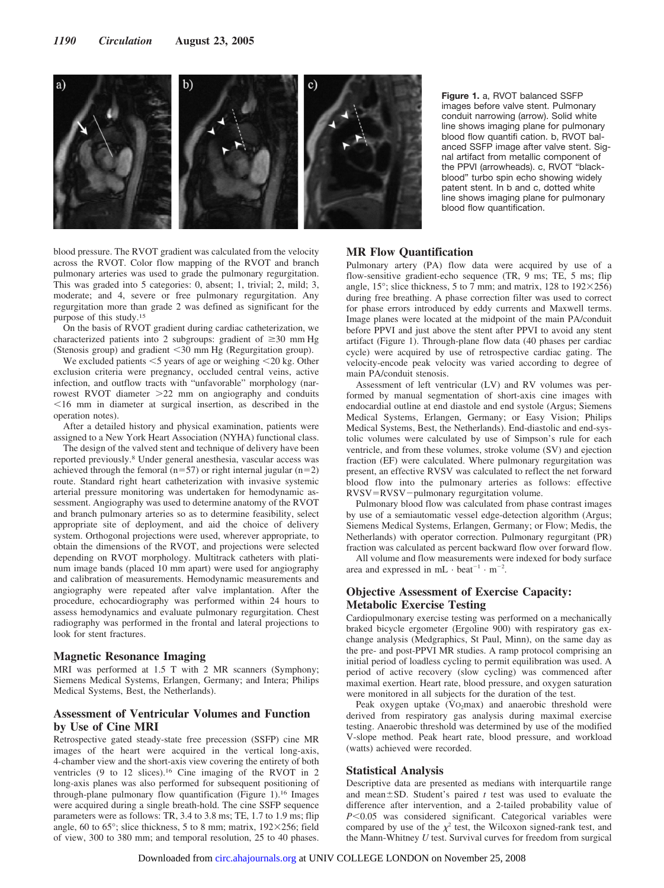

**Figure 1.** a, RVOT balanced SSFP images before valve stent. Pulmonary conduit narrowing (arrow). Solid white line shows imaging plane for pulmonary blood flow quantifi cation. b, RVOT balanced SSFP image after valve stent. Signal artifact from metallic component of the PPVI (arrowheads). c, RVOT "blackblood" turbo spin echo showing widely patent stent. In b and c, dotted white line shows imaging plane for pulmonary blood flow quantification.

blood pressure. The RVOT gradient was calculated from the velocity across the RVOT. Color flow mapping of the RVOT and branch pulmonary arteries was used to grade the pulmonary regurgitation. This was graded into 5 categories: 0, absent; 1, trivial; 2, mild; 3, moderate; and 4, severe or free pulmonary regurgitation. Any regurgitation more than grade 2 was defined as significant for the purpose of this study.15

On the basis of RVOT gradient during cardiac catheterization, we characterized patients into 2 subgroups: gradient of  $\geq 30$  mm Hg (Stenosis group) and gradient 30 mm Hg (Regurgitation group).

We excluded patients  $\leq$  years of age or weighing  $\leq$  20 kg. Other exclusion criteria were pregnancy, occluded central veins, active infection, and outflow tracts with "unfavorable" morphology (narrowest RVOT diameter 22 mm on angiography and conduits  $16$  mm in diameter at surgical insertion, as described in the operation notes).

After a detailed history and physical examination, patients were assigned to a New York Heart Association (NYHA) functional class.

The design of the valved stent and technique of delivery have been reported previously.8 Under general anesthesia, vascular access was achieved through the femoral (n=57) or right internal jugular (n=2) route. Standard right heart catheterization with invasive systemic arterial pressure monitoring was undertaken for hemodynamic assessment. Angiography was used to determine anatomy of the RVOT and branch pulmonary arteries so as to determine feasibility, select appropriate site of deployment, and aid the choice of delivery system. Orthogonal projections were used, wherever appropriate, to obtain the dimensions of the RVOT, and projections were selected depending on RVOT morphology. Multitrack catheters with platinum image bands (placed 10 mm apart) were used for angiography and calibration of measurements. Hemodynamic measurements and angiography were repeated after valve implantation. After the procedure, echocardiography was performed within 24 hours to assess hemodynamics and evaluate pulmonary regurgitation. Chest radiography was performed in the frontal and lateral projections to look for stent fractures.

## **Magnetic Resonance Imaging**

MRI was performed at 1.5 T with 2 MR scanners (Symphony; Siemens Medical Systems, Erlangen, Germany; and Intera; Philips Medical Systems, Best, the Netherlands).

# **Assessment of Ventricular Volumes and Function by Use of Cine MRI**

Retrospective gated steady-state free precession (SSFP) cine MR images of the heart were acquired in the vertical long-axis, 4-chamber view and the short-axis view covering the entirety of both ventricles (9 to 12 slices).16 Cine imaging of the RVOT in 2 long-axis planes was also performed for subsequent positioning of through-plane pulmonary flow quantification (Figure 1).16 Images were acquired during a single breath-hold. The cine SSFP sequence parameters were as follows: TR, 3.4 to 3.8 ms; TE, 1.7 to 1.9 ms; flip angle, 60 to 65 $\degree$ ; slice thickness, 5 to 8 mm; matrix, 192 $\times$ 256; field of view, 300 to 380 mm; and temporal resolution, 25 to 40 phases.

#### **MR Flow Quantification**

Pulmonary artery (PA) flow data were acquired by use of a flow-sensitive gradient-echo sequence (TR, 9 ms; TE, 5 ms; flip angle, 15 $\degree$ ; slice thickness, 5 to 7 mm; and matrix, 128 to 192 $\times$ 256) during free breathing. A phase correction filter was used to correct for phase errors introduced by eddy currents and Maxwell terms. Image planes were located at the midpoint of the main PA/conduit before PPVI and just above the stent after PPVI to avoid any stent artifact (Figure 1). Through-plane flow data (40 phases per cardiac cycle) were acquired by use of retrospective cardiac gating. The velocity-encode peak velocity was varied according to degree of main PA/conduit stenosis.

Assessment of left ventricular (LV) and RV volumes was performed by manual segmentation of short-axis cine images with endocardial outline at end diastole and end systole (Argus; Siemens Medical Systems, Erlangen, Germany; or Easy Vision; Philips Medical Systems, Best, the Netherlands). End-diastolic and end-systolic volumes were calculated by use of Simpson's rule for each ventricle, and from these volumes, stroke volume (SV) and ejection fraction (EF) were calculated. Where pulmonary regurgitation was present, an effective RVSV was calculated to reflect the net forward blood flow into the pulmonary arteries as follows: effective RVSV=RVSV-pulmonary regurgitation volume.

Pulmonary blood flow was calculated from phase contrast images by use of a semiautomatic vessel edge-detection algorithm (Argus; Siemens Medical Systems, Erlangen, Germany; or Flow; Medis, the Netherlands) with operator correction. Pulmonary regurgitant (PR) fraction was calculated as percent backward flow over forward flow.

All volume and flow measurements were indexed for body surface area and expressed in mL  $\cdot$  beat<sup>-1</sup>  $\cdot$  m<sup>-2</sup>.

# **Objective Assessment of Exercise Capacity: Metabolic Exercise Testing**

Cardiopulmonary exercise testing was performed on a mechanically braked bicycle ergometer (Ergoline 900) with respiratory gas exchange analysis (Medgraphics, St Paul, Minn), on the same day as the pre- and post-PPVI MR studies. A ramp protocol comprising an initial period of loadless cycling to permit equilibration was used. A period of active recovery (slow cycling) was commenced after maximal exertion. Heart rate, blood pressure, and oxygen saturation were monitored in all subjects for the duration of the test.

Peak oxygen uptake  $(\dot{V}O_2 \text{max})$  and anaerobic threshold were derived from respiratory gas analysis during maximal exercise testing. Anaerobic threshold was determined by use of the modified V-slope method. Peak heart rate, blood pressure, and workload (watts) achieved were recorded.

## **Statistical Analysis**

Descriptive data are presented as medians with interquartile range and mean $\pm$ SD. Student's paired  $t$  test was used to evaluate the difference after intervention, and a 2-tailed probability value of *P*<0.05 was considered significant. Categorical variables were compared by use of the  $\chi^2$  test, the Wilcoxon signed-rank test, and the Mann-Whitney *U* test. Survival curves for freedom from surgical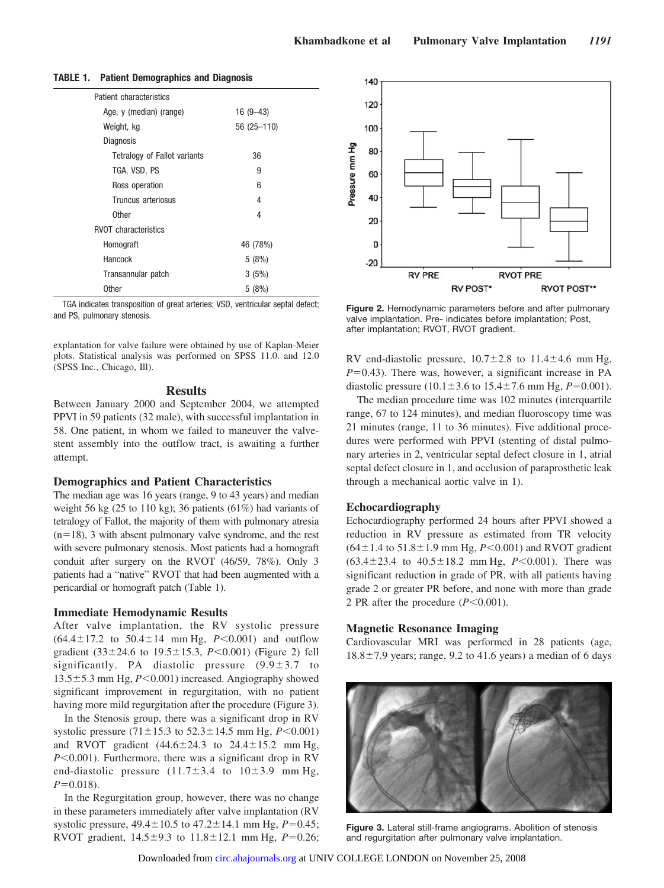| Patient characteristics      |             |
|------------------------------|-------------|
| Age, y (median) (range)      | $16(9-43)$  |
| Weight, kg                   | 56 (25-110) |
| <b>Diagnosis</b>             |             |
| Tetralogy of Fallot variants | 36          |
| tga, VSD, PS                 | 9           |
| Ross operation               | 6           |
| Truncus arteriosus           | 4           |
| Other                        | 4           |
| <b>RVOT</b> characteristics  |             |
| Homograft                    | 46 (78%)    |
| Hancock                      | 5(8%)       |
| Transannular patch           | 3(5%)       |
| <b>Other</b>                 | 5(8%)       |

## **TABLE 1. Patient Demographics and Diagnosis**

TGA indicates transposition of great arteries; VSD, ventricular septal defect; rian indicates transposition of great arteries, vob, vertificular septat defect,<br>
valve implantation. Pre-indicates before implantation: Post<br>
valve implantation. Pre-indicates before implantation: Post

explantation for valve failure were obtained by use of Kaplan-Meier plots. Statistical analysis was performed on SPSS 11.0. and 12.0 (SPSS Inc., Chicago, Ill).

## **Results**

Between January 2000 and September 2004, we attempted PPVI in 59 patients (32 male), with successful implantation in 58. One patient, in whom we failed to maneuver the valvestent assembly into the outflow tract, is awaiting a further attempt.

## **Demographics and Patient Characteristics**

The median age was 16 years (range, 9 to 43 years) and median weight 56 kg (25 to 110 kg); 36 patients (61%) had variants of tetralogy of Fallot, the majority of them with pulmonary atresia  $(n=18)$ , 3 with absent pulmonary valve syndrome, and the rest with severe pulmonary stenosis. Most patients had a homograft conduit after surgery on the RVOT (46/59, 78%). Only 3 patients had a "native" RVOT that had been augmented with a pericardial or homograft patch (Table 1).

## **Immediate Hemodynamic Results**

After valve implantation, the RV systolic pressure  $(64.4 \pm 17.2 \text{ to } 50.4 \pm 14 \text{ mm Hg}, P < 0.001)$  and outflow gradient  $(33 \pm 24.6 \text{ to } 19.5 \pm 15.3, P < 0.001)$  (Figure 2) fell significantly. PA diastolic pressure  $(9.9 \pm 3.7)$  to  $13.5 \pm 5.3$  mm Hg,  $P \le 0.001$ ) increased. Angiography showed significant improvement in regurgitation, with no patient having more mild regurgitation after the procedure (Figure 3).

In the Stenosis group, there was a significant drop in RV systolic pressure  $(71 \pm 15.3 \text{ to } 52.3 \pm 14.5 \text{ mm Hg}, P<0.001)$ and RVOT gradient  $(44.6 \pm 24.3 \text{ to } 24.4 \pm 15.2 \text{ mm Hg},$  $P \le 0.001$ ). Furthermore, there was a significant drop in RV end-diastolic pressure  $(11.7 \pm 3.4)$  to  $10 \pm 3.9$  mm Hg,  $P=0.018$ ).

In the Regurgitation group, however, there was no change in these parameters immediately after valve implantation (RV systolic pressure,  $49.4 \pm 10.5$  to  $47.2 \pm 14.1$  mm Hg,  $P=0.45$ ; RVOT gradient,  $14.5 \pm 9.3$  to  $11.8 \pm 12.1$  mm Hg,  $P=0.26$ ;



valve implantation. Pre- indicates before implantation; Post, after implantation; RVOT, RVOT gradient.

RV end-diastolic pressure,  $10.7 \pm 2.8$  to  $11.4 \pm 4.6$  mm Hg,  $P=0.43$ ). There was, however, a significant increase in PA diastolic pressure  $(10.1 \pm 3.6 \text{ to } 15.4 \pm 7.6 \text{ mm Hg}, P=0.001)$ .

The median procedure time was 102 minutes (interquartile range, 67 to 124 minutes), and median fluoroscopy time was 21 minutes (range, 11 to 36 minutes). Five additional procedures were performed with PPVI (stenting of distal pulmonary arteries in 2, ventricular septal defect closure in 1, atrial septal defect closure in 1, and occlusion of paraprosthetic leak through a mechanical aortic valve in 1).

## **Echocardiography**

Echocardiography performed 24 hours after PPVI showed a reduction in RV pressure as estimated from TR velocity  $(64 \pm 1.4 \text{ to } 51.8 \pm 1.9 \text{ mm Hg}, P < 0.001)$  and RVOT gradient  $(63.4 \pm 23.4 \text{ to } 40.5 \pm 18.2 \text{ mm Hg}, P < 0.001)$ . There was significant reduction in grade of PR, with all patients having grade 2 or greater PR before, and none with more than grade 2 PR after the procedure  $(P<0.001)$ .

#### **Magnetic Resonance Imaging**

Cardiovascular MRI was performed in 28 patients (age,  $18.8 \pm 7.9$  years; range, 9.2 to 41.6 years) a median of 6 days



**Figure 3.** Lateral still-frame angiograms. Abolition of stenosis and regurgitation after pulmonary valve implantation.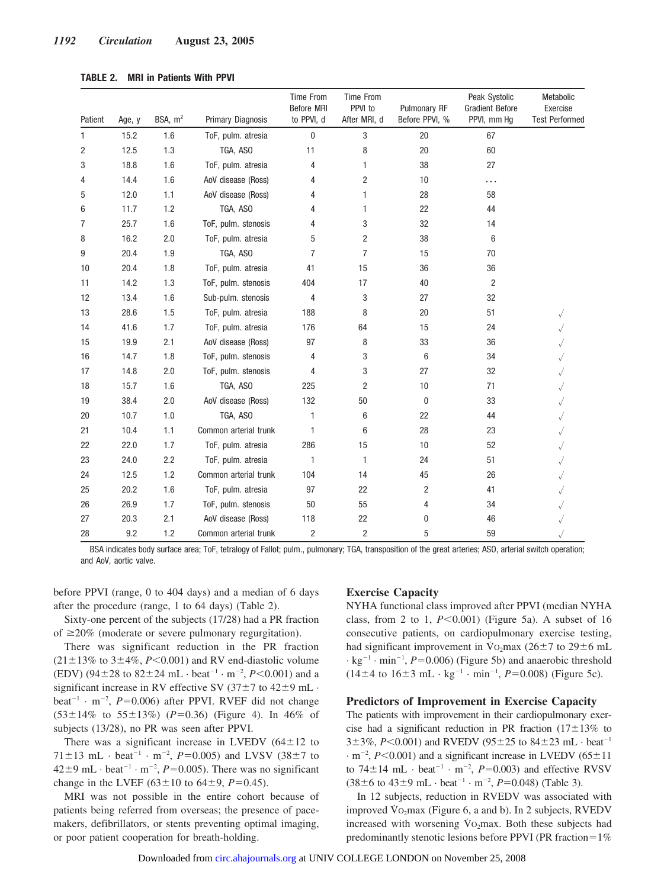| TABLE 2. |  |  | <b>MRI in Patients With PPVI</b> |  |  |
|----------|--|--|----------------------------------|--|--|
|----------|--|--|----------------------------------|--|--|

| Patient | Age, y | BSA, $m2$ | Primary Diagnosis     | <b>Time From</b><br>Before MRI<br>to PPVI, d | Time From<br>PPVI to<br>After MRI, d | Pulmonary RF<br>Before PPVI, % | Peak Systolic<br><b>Gradient Before</b><br>PPVI, mm Hg | Metabolic<br>Exercise<br><b>Test Performed</b> |
|---------|--------|-----------|-----------------------|----------------------------------------------|--------------------------------------|--------------------------------|--------------------------------------------------------|------------------------------------------------|
| 1       | 15.2   | 1.6       | ToF, pulm. atresia    | 0                                            | 3                                    | 20                             | 67                                                     |                                                |
| 2       | 12.5   | 1.3       | TGA, ASO              | 11                                           | 8                                    | 20                             | 60                                                     |                                                |
| 3       | 18.8   | 1.6       | ToF, pulm. atresia    | 4                                            | 1                                    | 38                             | 27                                                     |                                                |
| 4       | 14.4   | 1.6       | AoV disease (Ross)    | 4                                            | 2                                    | 10                             | $\cdots$                                               |                                                |
| 5       | 12.0   | 1.1       | AoV disease (Ross)    | 4                                            | 1                                    | 28                             | 58                                                     |                                                |
| 6       | 11.7   | 1.2       | TGA, ASO              | 4                                            | 1                                    | 22                             | 44                                                     |                                                |
| 7       | 25.7   | 1.6       | ToF, pulm. stenosis   | 4                                            | 3                                    | 32                             | 14                                                     |                                                |
| 8       | 16.2   | 2.0       | ToF, pulm. atresia    | 5                                            | 2                                    | 38                             | 6                                                      |                                                |
| 9       | 20.4   | 1.9       | TGA, ASO              | 7                                            | $\overline{7}$                       | 15                             | 70                                                     |                                                |
| 10      | 20.4   | 1.8       | ToF, pulm. atresia    | 41                                           | 15                                   | 36                             | 36                                                     |                                                |
| 11      | 14.2   | 1.3       | ToF, pulm. stenosis   | 404                                          | 17                                   | 40                             | 2                                                      |                                                |
| 12      | 13.4   | 1.6       | Sub-pulm. stenosis    | 4                                            | 3                                    | 27                             | 32                                                     |                                                |
| 13      | 28.6   | 1.5       | ToF, pulm. atresia    | 188                                          | 8                                    | 20                             | 51                                                     |                                                |
| 14      | 41.6   | 1.7       | ToF, pulm. atresia    | 176                                          | 64                                   | 15                             | 24                                                     |                                                |
| 15      | 19.9   | 2.1       | AoV disease (Ross)    | 97                                           | 8                                    | 33                             | 36                                                     |                                                |
| 16      | 14.7   | 1.8       | ToF, pulm. stenosis   | 4                                            | 3                                    | 6                              | 34                                                     |                                                |
| 17      | 14.8   | 2.0       | ToF, pulm. stenosis   | 4                                            | 3                                    | 27                             | 32                                                     |                                                |
| 18      | 15.7   | 1.6       | TGA, ASO              | 225                                          | 2                                    | 10                             | 71                                                     |                                                |
| 19      | 38.4   | 2.0       | AoV disease (Ross)    | 132                                          | 50                                   | 0                              | 33                                                     |                                                |
| 20      | 10.7   | 1.0       | TGA, ASO              | 1                                            | 6                                    | 22                             | 44                                                     |                                                |
| 21      | 10.4   | 1.1       | Common arterial trunk | 1                                            | 6                                    | 28                             | 23                                                     |                                                |
| 22      | 22.0   | 1.7       | ToF, pulm. atresia    | 286                                          | 15                                   | 10                             | 52                                                     |                                                |
| 23      | 24.0   | 2.2       | ToF, pulm. atresia    | 1                                            | 1                                    | 24                             | 51                                                     |                                                |
| 24      | 12.5   | 1.2       | Common arterial trunk | 104                                          | 14                                   | 45                             | 26                                                     |                                                |
| 25      | 20.2   | 1.6       | ToF, pulm. atresia    | 97                                           | 22                                   | 2                              | 41                                                     |                                                |
| 26      | 26.9   | 1.7       | ToF, pulm. stenosis   | 50                                           | 55                                   | 4                              | 34                                                     |                                                |
| 27      | 20.3   | 2.1       | AoV disease (Ross)    | 118                                          | 22                                   | 0                              | 46                                                     |                                                |
| 28      | 9.2    | 1.2       | Common arterial trunk | $\overline{c}$                               | $\overline{c}$                       | 5                              | 59                                                     |                                                |

BSA indicates body surface area; ToF, tetralogy of Fallot; pulm., pulmonary; TGA, transposition of the great arteries; ASO, arterial switch operation; and AoV, aortic valve.

before PPVI (range, 0 to 404 days) and a median of 6 days after the procedure (range, 1 to 64 days) (Table 2).

Sixty-one percent of the subjects (17/28) had a PR fraction of  $\geq$ 20% (moderate or severe pulmonary regurgitation).

There was significant reduction in the PR fraction  $(21 \pm 13\%$  to  $3 \pm 4\%, P \le 0.001$ ) and RV end-diastolic volume (EDV) (94 $\pm$ 28 to 82 $\pm$ 24 mL · beat<sup>-1</sup> · m<sup>-2</sup>, *P*<0.001) and a significant increase in RV effective SV  $(37\pm7)$  to  $42\pm9$  mL  $\cdot$ beat<sup>-1</sup> · m<sup>-2</sup>,  $P=0.006$ ) after PPVI. RVEF did not change  $(53 \pm 14\%$  to  $55 \pm 13\%)$  (*P*=0.36) (Figure 4). In 46% of subjects (13/28), no PR was seen after PPVI.

There was a significant increase in LVEDV  $(64 \pm 12)$  to  $71 \pm 13$  mL · beat<sup>-1</sup> · m<sup>-2</sup>,  $P=0.005$ ) and LVSV (38 $\pm$ 7 to  $42\pm9$  mL  $\cdot$  beat<sup>-1</sup>  $\cdot$  m<sup>-2</sup>, *P*=0.005). There was no significant change in the LVEF  $(63 \pm 10 \text{ to } 64 \pm 9, P=0.45)$ .

MRI was not possible in the entire cohort because of patients being referred from overseas; the presence of pacemakers, defibrillators, or stents preventing optimal imaging, or poor patient cooperation for breath-holding.

# **Exercise Capacity**

NYHA functional class improved after PPVI (median NYHA class, from 2 to 1,  $P \le 0.001$ ) (Figure 5a). A subset of 16 consecutive patients, on cardiopulmonary exercise testing, had significant improvement in  $\overline{V}o_2$ max (26  $\pm$  7 to 29  $\pm$  6 mL  $\cdot$  kg<sup>-1</sup>  $\cdot$  min<sup>-1</sup>, *P*=0.006) (Figure 5b) and anaerobic threshold  $(14\pm4 \text{ to } 16\pm3 \text{ mL} \cdot \text{kg}^{-1} \cdot \text{min}^{-1}, P=0.008)$  (Figure 5c).

## **Predictors of Improvement in Exercise Capacity**

The patients with improvement in their cardiopulmonary exercise had a significant reduction in PR fraction  $(17 \pm 13\%$  to  $3\pm3\%$ , *P*<0.001) and RVEDV (95 $\pm25$  to  $84\pm23$  mL · beat<sup>-1</sup>  $\cdot$  m<sup>-2</sup>, *P*<0.001) and a significant increase in LVEDV (65 $\pm$ 11 to  $74 \pm 14$  mL  $\cdot$  beat<sup>-1</sup>  $\cdot$  m<sup>-2</sup>,  $P=0.003$ ) and effective RVSV  $(38 \pm 6 \text{ to } 43 \pm 9 \text{ mL} \cdot \text{beat}^{-1} \cdot \text{m}^{-2}, P=0.048)$  (Table 3).

In 12 subjects, reduction in RVEDV was associated with improved  $\dot{V}$ O<sub>2</sub>max (Figure 6, a and b). In 2 subjects, RVEDV increased with worsening  $\dot{V}$ O<sub>2</sub>max. Both these subjects had predominantly stenotic lesions before PPVI (PR fraction= $1\%$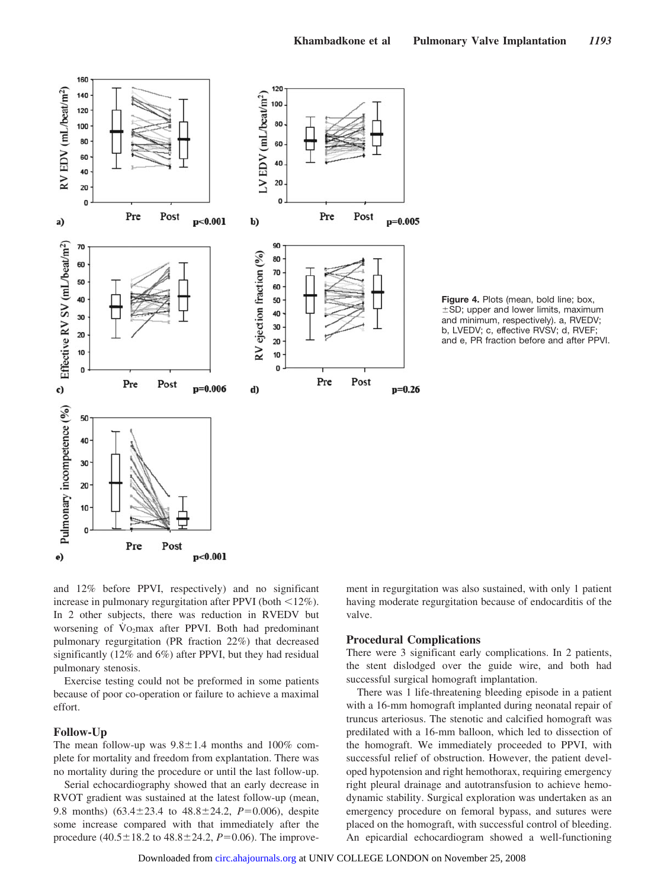

**Figure 4.** Plots (mean, bold line; box,  $\pm$ SD; upper and lower limits, maximum and minimum, respectively). a, RVEDV; b, LVEDV; c, effective RVSV; d, RVEF; and e, PR fraction before and after PPVI.

and 12% before PPVI, respectively) and no significant increase in pulmonary regurgitation after PPVI (both  $\leq$ 12%). In 2 other subjects, there was reduction in RVEDV but worsening of  $\overline{V}O_2$ max after PPVI. Both had predominant pulmonary regurgitation (PR fraction 22%) that decreased significantly (12% and 6%) after PPVI, but they had residual pulmonary stenosis.

Exercise testing could not be preformed in some patients because of poor co-operation or failure to achieve a maximal effort.

## **Follow-Up**

The mean follow-up was  $9.8 \pm 1.4$  months and 100% complete for mortality and freedom from explantation. There was no mortality during the procedure or until the last follow-up.

Serial echocardiography showed that an early decrease in RVOT gradient was sustained at the latest follow-up (mean, 9.8 months)  $(63.4 \pm 23.4 \text{ to } 48.8 \pm 24.2, P=0.006)$ , despite some increase compared with that immediately after the procedure  $(40.5 \pm 18.2 \text{ to } 48.8 \pm 24.2, P=0.06)$ . The improvement in regurgitation was also sustained, with only 1 patient having moderate regurgitation because of endocarditis of the valve.

## **Procedural Complications**

There were 3 significant early complications. In 2 patients, the stent dislodged over the guide wire, and both had successful surgical homograft implantation.

There was 1 life-threatening bleeding episode in a patient with a 16-mm homograft implanted during neonatal repair of truncus arteriosus. The stenotic and calcified homograft was predilated with a 16-mm balloon, which led to dissection of the homograft. We immediately proceeded to PPVI, with successful relief of obstruction. However, the patient developed hypotension and right hemothorax, requiring emergency right pleural drainage and autotransfusion to achieve hemodynamic stability. Surgical exploration was undertaken as an emergency procedure on femoral bypass, and sutures were placed on the homograft, with successful control of bleeding. An epicardial echocardiogram showed a well-functioning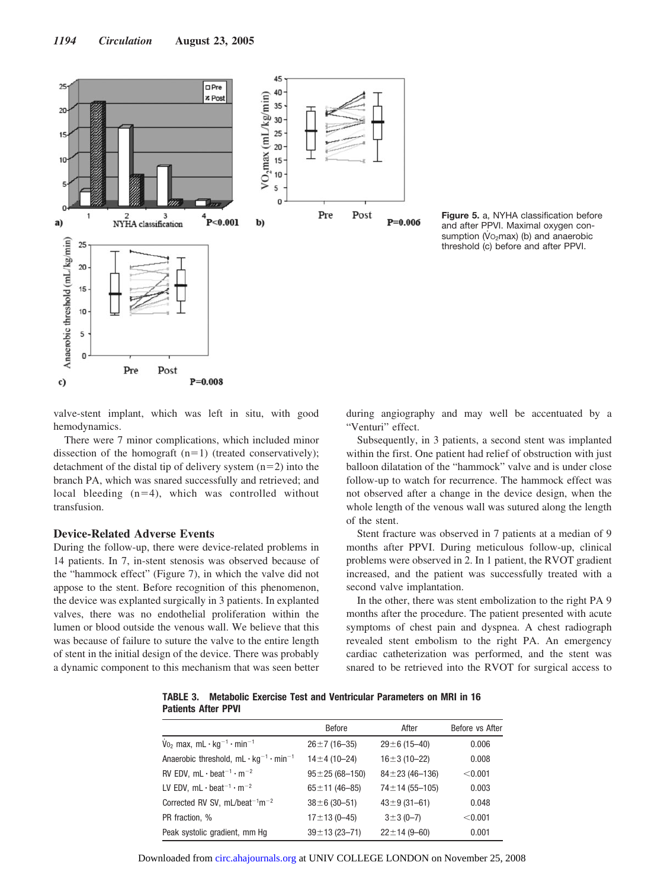

**Figure 5.** a, NYHA classification before and after PPVI. Maximal oxygen consumption ( $Vo<sub>2</sub>$ max) (b) and anaerobic threshold (c) before and after PPVI.

valve-stent implant, which was left in situ, with good hemodynamics.

There were 7 minor complications, which included minor dissection of the homograft  $(n=1)$  (treated conservatively); detachment of the distal tip of delivery system  $(n=2)$  into the branch PA, which was snared successfully and retrieved; and local bleeding  $(n=4)$ , which was controlled without transfusion.

# **Device-Related Adverse Events**

During the follow-up, there were device-related problems in 14 patients. In 7, in-stent stenosis was observed because of the "hammock effect" (Figure 7), in which the valve did not appose to the stent. Before recognition of this phenomenon, the device was explanted surgically in 3 patients. In explanted valves, there was no endothelial proliferation within the lumen or blood outside the venous wall. We believe that this was because of failure to suture the valve to the entire length of stent in the initial design of the device. There was probably a dynamic component to this mechanism that was seen better during angiography and may well be accentuated by a "Venturi" effect.

Subsequently, in 3 patients, a second stent was implanted within the first. One patient had relief of obstruction with just balloon dilatation of the "hammock" valve and is under close follow-up to watch for recurrence. The hammock effect was not observed after a change in the device design, when the whole length of the venous wall was sutured along the length of the stent.

Stent fracture was observed in 7 patients at a median of 9 months after PPVI. During meticulous follow-up, clinical problems were observed in 2. In 1 patient, the RVOT gradient increased, and the patient was successfully treated with a second valve implantation.

In the other, there was stent embolization to the right PA 9 months after the procedure. The patient presented with acute symptoms of chest pain and dyspnea. A chest radiograph revealed stent embolism to the right PA. An emergency cardiac catheterization was performed, and the stent was snared to be retrieved into the RVOT for surgical access to

**TABLE 3. Metabolic Exercise Test and Ventricular Parameters on MRI in 16 Patients After PPVI**

|                                                                            | <b>Before</b>          | After                 | Before vs After |
|----------------------------------------------------------------------------|------------------------|-----------------------|-----------------|
| $\dot{V}_{0}$ , max, mL $\cdot$ kg <sup>-1</sup> $\cdot$ min <sup>-1</sup> | $26 \pm 7(16 - 35)$    | $29 \pm 6$ (15-40)    | 0.006           |
| Anaerobic threshold, $mL \cdot kq^{-1} \cdot min^{-1}$                     | $14 \pm 4$ (10-24)     | $16 \pm 3(10 - 22)$   | 0.008           |
| RV EDV, $mL \cdot \text{beat}^{-1} \cdot m^{-2}$                           | $95 \pm 25 (68 - 150)$ | $84 \pm 23(46 - 136)$ | < 0.001         |
| LV EDV, $mL \cdot \text{beat}^{-1} \cdot m^{-2}$                           | $65 \pm 11 (46 - 85)$  | $74 \pm 14$ (55-105)  | 0.003           |
| Corrected RV SV, $mL/beat^{-1}m^{-2}$                                      | $38 \pm 6$ (30-51)     | $43 \pm 9$ (31-61)    | 0.048           |
| PR fraction, %                                                             | $17 \pm 13(0 - 45)$    | $3 \pm 3 (0 - 7)$     | < 0.001         |
| Peak systolic gradient, mm Hg                                              | $39 \pm 13$ (23-71)    | $22 \pm 14 (9 - 60)$  | 0.001           |

Downloaded from [circ.ahajournals.org](http://circ.ahajournals.org) at UNIV COLLEGE LONDON on November 25, 2008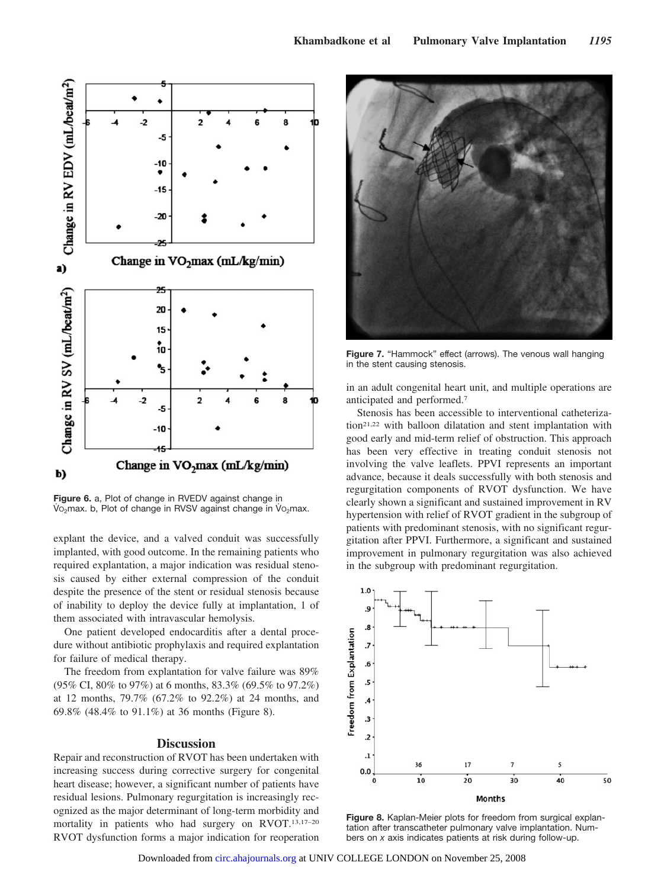

**Figure 6.** a, Plot of change in RVEDV against change in Vo<sub>2</sub>max. b, Plot of change in RVSV against change in Vo<sub>2</sub>max.

explant the device, and a valved conduit was successfully implanted, with good outcome. In the remaining patients who required explantation, a major indication was residual stenosis caused by either external compression of the conduit despite the presence of the stent or residual stenosis because of inability to deploy the device fully at implantation, 1 of them associated with intravascular hemolysis.

One patient developed endocarditis after a dental procedure without antibiotic prophylaxis and required explantation for failure of medical therapy.

The freedom from explantation for valve failure was 89% (95% CI, 80% to 97%) at 6 months, 83.3% (69.5% to 97.2%) at 12 months, 79.7% (67.2% to 92.2%) at 24 months, and 69.8% (48.4% to 91.1%) at 36 months (Figure 8).

# **Discussion**

Repair and reconstruction of RVOT has been undertaken with increasing success during corrective surgery for congenital heart disease; however, a significant number of patients have residual lesions. Pulmonary regurgitation is increasingly recognized as the major determinant of long-term morbidity and mortality in patients who had surgery on RVOT.13,17–20 RVOT dysfunction forms a major indication for reoperation



**Figure 7.** "Hammock" effect (arrows). The venous wall hanging in the stent causing stenosis.

in an adult congenital heart unit, and multiple operations are anticipated and performed.7

Stenosis has been accessible to interventional catheterization21,22 with balloon dilatation and stent implantation with good early and mid-term relief of obstruction. This approach has been very effective in treating conduit stenosis not involving the valve leaflets. PPVI represents an important advance, because it deals successfully with both stenosis and regurgitation components of RVOT dysfunction. We have clearly shown a significant and sustained improvement in RV hypertension with relief of RVOT gradient in the subgroup of patients with predominant stenosis, with no significant regurgitation after PPVI. Furthermore, a significant and sustained improvement in pulmonary regurgitation was also achieved in the subgroup with predominant regurgitation.



**Figure 8.** Kaplan-Meier plots for freedom from surgical explantation after transcatheter pulmonary valve implantation. Numbers on *x* axis indicates patients at risk during follow-up.

Downloaded from [circ.ahajournals.org](http://circ.ahajournals.org) at UNIV COLLEGE LONDON on November 25, 2008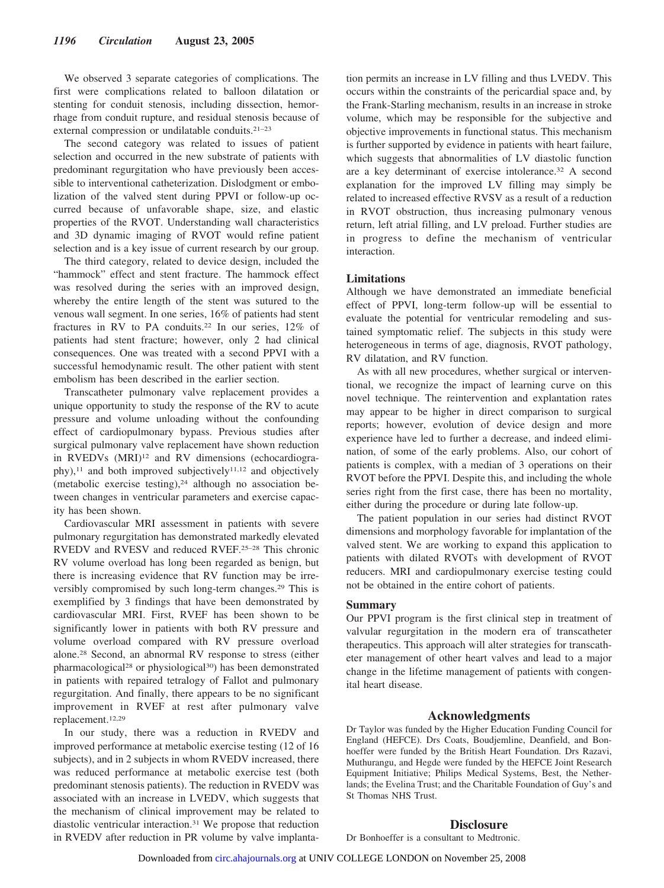We observed 3 separate categories of complications. The first were complications related to balloon dilatation or stenting for conduit stenosis, including dissection, hemorrhage from conduit rupture, and residual stenosis because of external compression or undilatable conduits.21–23

The second category was related to issues of patient selection and occurred in the new substrate of patients with predominant regurgitation who have previously been accessible to interventional catheterization. Dislodgment or embolization of the valved stent during PPVI or follow-up occurred because of unfavorable shape, size, and elastic properties of the RVOT. Understanding wall characteristics and 3D dynamic imaging of RVOT would refine patient selection and is a key issue of current research by our group.

The third category, related to device design, included the "hammock" effect and stent fracture. The hammock effect was resolved during the series with an improved design, whereby the entire length of the stent was sutured to the venous wall segment. In one series, 16% of patients had stent fractures in RV to PA conduits.22 In our series, 12% of patients had stent fracture; however, only 2 had clinical consequences. One was treated with a second PPVI with a successful hemodynamic result. The other patient with stent embolism has been described in the earlier section.

Transcatheter pulmonary valve replacement provides a unique opportunity to study the response of the RV to acute pressure and volume unloading without the confounding effect of cardiopulmonary bypass. Previous studies after surgical pulmonary valve replacement have shown reduction in RVEDVs (MRI)<sup>12</sup> and RV dimensions (echocardiogra $phy)$ ,<sup>11</sup> and both improved subjectively<sup>11,12</sup> and objectively (metabolic exercise testing), $24$  although no association between changes in ventricular parameters and exercise capacity has been shown.

Cardiovascular MRI assessment in patients with severe pulmonary regurgitation has demonstrated markedly elevated RVEDV and RVESV and reduced RVEF.25–28 This chronic RV volume overload has long been regarded as benign, but there is increasing evidence that RV function may be irreversibly compromised by such long-term changes.29 This is exemplified by 3 findings that have been demonstrated by cardiovascular MRI. First, RVEF has been shown to be significantly lower in patients with both RV pressure and volume overload compared with RV pressure overload alone.28 Second, an abnormal RV response to stress (either pharmacological28 or physiological30) has been demonstrated in patients with repaired tetralogy of Fallot and pulmonary regurgitation. And finally, there appears to be no significant improvement in RVEF at rest after pulmonary valve replacement.12,29

In our study, there was a reduction in RVEDV and improved performance at metabolic exercise testing (12 of 16 subjects), and in 2 subjects in whom RVEDV increased, there was reduced performance at metabolic exercise test (both predominant stenosis patients). The reduction in RVEDV was associated with an increase in LVEDV, which suggests that the mechanism of clinical improvement may be related to diastolic ventricular interaction.31 We propose that reduction in RVEDV after reduction in PR volume by valve implantation permits an increase in LV filling and thus LVEDV. This occurs within the constraints of the pericardial space and, by the Frank-Starling mechanism, results in an increase in stroke volume, which may be responsible for the subjective and objective improvements in functional status. This mechanism is further supported by evidence in patients with heart failure, which suggests that abnormalities of LV diastolic function are a key determinant of exercise intolerance.32 A second explanation for the improved LV filling may simply be related to increased effective RVSV as a result of a reduction in RVOT obstruction, thus increasing pulmonary venous return, left atrial filling, and LV preload. Further studies are in progress to define the mechanism of ventricular interaction.

# **Limitations**

Although we have demonstrated an immediate beneficial effect of PPVI, long-term follow-up will be essential to evaluate the potential for ventricular remodeling and sustained symptomatic relief. The subjects in this study were heterogeneous in terms of age, diagnosis, RVOT pathology, RV dilatation, and RV function.

As with all new procedures, whether surgical or interventional, we recognize the impact of learning curve on this novel technique. The reintervention and explantation rates may appear to be higher in direct comparison to surgical reports; however, evolution of device design and more experience have led to further a decrease, and indeed elimination, of some of the early problems. Also, our cohort of patients is complex, with a median of 3 operations on their RVOT before the PPVI. Despite this, and including the whole series right from the first case, there has been no mortality, either during the procedure or during late follow-up.

The patient population in our series had distinct RVOT dimensions and morphology favorable for implantation of the valved stent. We are working to expand this application to patients with dilated RVOTs with development of RVOT reducers. MRI and cardiopulmonary exercise testing could not be obtained in the entire cohort of patients.

## **Summary**

Our PPVI program is the first clinical step in treatment of valvular regurgitation in the modern era of transcatheter therapeutics. This approach will alter strategies for transcatheter management of other heart valves and lead to a major change in the lifetime management of patients with congenital heart disease.

# **Acknowledgments**

Dr Taylor was funded by the Higher Education Funding Council for England (HEFCE). Drs Coats, Boudjemline, Deanfield, and Bonhoeffer were funded by the British Heart Foundation. Drs Razavi, Muthurangu, and Hegde were funded by the HEFCE Joint Research Equipment Initiative; Philips Medical Systems, Best, the Netherlands; the Evelina Trust; and the Charitable Foundation of Guy's and St Thomas NHS Trust.

## **Disclosure**

Dr Bonhoeffer is a consultant to Medtronic.